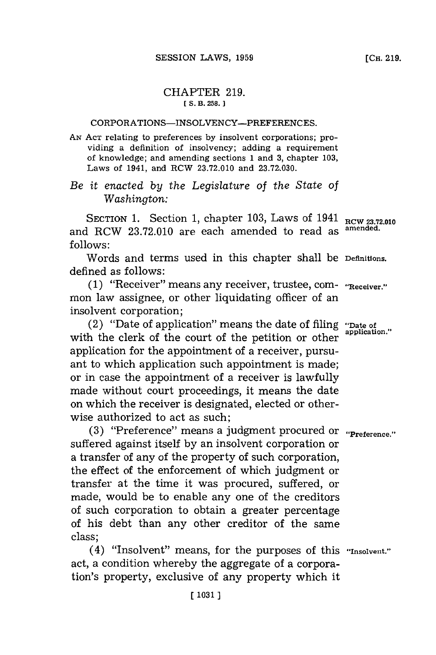## CHAPTER **219.** *[* **S. B. 258.**

## CORPORATIONS-INSOLVENCY-PREFERENCES.

**AN ACT** relating to preferences **by** insolvent corporations; providing a definition of insolvency; adding a requirement of knowledge; and amending sections 1 and **3,** chapter **103,** Laws of 1941, and RCW **23.72.010** and **23.72,030.**

## *Be it enacted by the Legislature of the State of Washington:*

SECTION 1. Section 1, chapter 103, Laws of 1941 RCW 23.72.010<br>**1. RCW** 23.72.010 are cash amonded to read as <sup>amended</sup>. and RCW 23.72.010 are each amended to read as **follows:**

Words and terms used in this chapter shall be Definitions. defined as follows:

**(1)** "Receiver" means any receiver, trustee, corn- "Receiver." mon law assignee, or other liquidating officer of an insolvent corporation;

(2) "Date of application"~ means the date of filing "Date of with the clerk of the court of the petition or other **application**. application for the appointment of a receiver, pursuant to which application such appointment is made; or in case the appointment of a receiver is lawfully made without court proceedings, it means the date on which the receiver is designated, elected or otherwise authorized to act as such;

**(3)** "Preference" means a judgment procured or **"Preference."** suffered against itself **by** an insolvent corporation or a transfer of any of the property of such corporation, the effect of the enforcement of which judgment or transfer at the time it was procured, suffered, or made, would be to enable any one of the creditors of such corporation to obtain a greater percentage of his debt than any other creditor of the same class;

(4) "Insolvent" means, for the purposes of this **"Insolvent."** act, a condition whereby the aggregate of a corporation's property, exclusive of any property which it

**[CH. 219.**